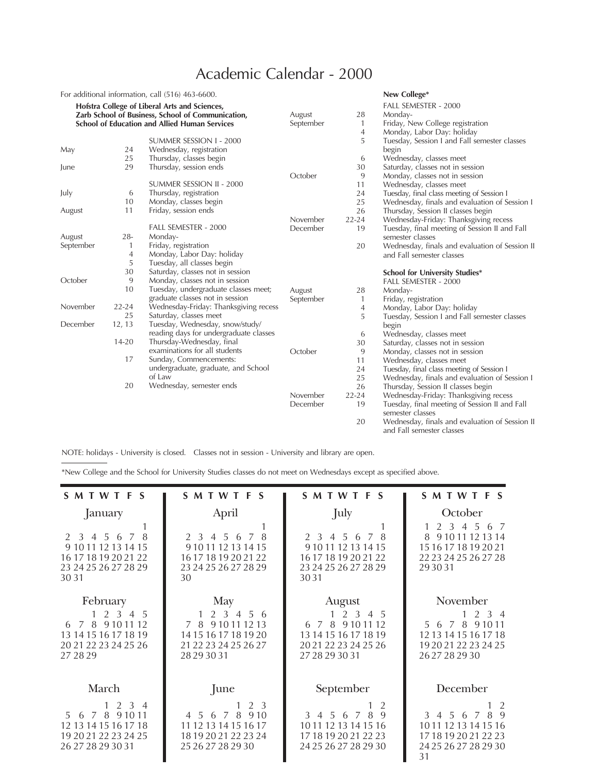## Academic Calendar - 2000

|                                                                                                           |           | For additional information, call (516) 463-6600. |           |              | New College*                                   |
|-----------------------------------------------------------------------------------------------------------|-----------|--------------------------------------------------|-----------|--------------|------------------------------------------------|
| Hofstra College of Liberal Arts and Sciences,                                                             |           |                                                  |           |              | FALL SEMESTER - 2000                           |
| Zarb School of Business, School of Communication,<br><b>School of Education and Allied Human Services</b> |           |                                                  | August    | 28           | Monday-                                        |
|                                                                                                           |           |                                                  | September | 1            | Friday, New College registration               |
|                                                                                                           |           |                                                  |           | 4            | Monday, Labor Day: holiday                     |
|                                                                                                           |           | SUMMER SESSION I - 2000                          |           | 5            | Tuesday, Session I and Fall semester classes   |
| May                                                                                                       | 24        | Wednesday, registration                          |           |              | begin                                          |
|                                                                                                           | 25        | Thursday, classes begin                          |           | 6            | Wednesday, classes meet                        |
| June                                                                                                      | 29        | Thursday, session ends                           |           | 30           | Saturday, classes not in session               |
|                                                                                                           |           |                                                  | October   | 9            | Monday, classes not in session                 |
|                                                                                                           |           | SUMMER SESSION II - 2000                         |           | 11           | Wednesday, classes meet                        |
| July                                                                                                      | 6         | Thursday, registration                           |           | 24           | Tuesday, final class meeting of Session I      |
|                                                                                                           | 10        | Monday, classes begin                            |           | 25           | Wednesday, finals and evaluation of Session I  |
| August                                                                                                    | 11        | Friday, session ends                             |           | 26           | Thursday, Session II classes begin             |
|                                                                                                           |           |                                                  | November  | $22 - 24$    | Wednesday-Friday: Thanksgiving recess          |
|                                                                                                           |           | FALL SEMESTER - 2000                             | December  | 19           | Tuesday, final meeting of Session II and Fall  |
| August                                                                                                    | $28 -$    | Monday-                                          |           |              | semester classes                               |
| September                                                                                                 | 1         | Friday, registration                             |           | 20           | Wednesday, finals and evaluation of Session II |
|                                                                                                           | 4         | Monday, Labor Day: holiday                       |           |              | and Fall semester classes                      |
|                                                                                                           | 5         | Tuesday, all classes begin                       |           |              |                                                |
|                                                                                                           | 30        | Saturday, classes not in session                 |           |              | <b>School for University Studies*</b>          |
| October                                                                                                   | 9         | Monday, classes not in session                   |           |              | FALL SEMESTER - 2000                           |
|                                                                                                           | 10        | Tuesday, undergraduate classes meet;             | August    | 28           | Monday-                                        |
|                                                                                                           |           | graduate classes not in session                  | September | $\mathbf{1}$ | Friday, registration                           |
| November                                                                                                  | $22 - 24$ | Wednesday-Friday: Thanksgiving recess            |           | 4            | Monday, Labor Day: holiday                     |
|                                                                                                           | 25        | Saturday, classes meet                           |           | 5            | Tuesday, Session I and Fall semester classes   |
| December                                                                                                  | 12, 13    | Tuesday, Wednesday, snow/study/                  |           |              | begin                                          |
|                                                                                                           |           | reading days for undergraduate classes           |           | 6            | Wednesday, classes meet                        |
|                                                                                                           | 14-20     | Thursday-Wednesday, final                        |           | 30           | Saturday, classes not in session               |
|                                                                                                           |           | examinations for all students                    | October   | 9            | Monday, classes not in session                 |
|                                                                                                           | 17        | Sunday, Commencements:                           |           | 11           | Wednesday, classes meet                        |
|                                                                                                           |           | undergraduate, graduate, and School              |           | 24           | Tuesday, final class meeting of Session I      |
|                                                                                                           |           | of Law                                           |           | 25           | Wednesday, finals and evaluation of Session I  |
|                                                                                                           | 20        | Wednesday, semester ends                         |           | 26           | Thursday, Session II classes begin             |
|                                                                                                           |           |                                                  | November  | $22 - 24$    | Wednesday-Friday: Thanksgiving recess          |
|                                                                                                           |           |                                                  | December  | 19           | Tuesday, final meeting of Session II and Fall  |
|                                                                                                           |           |                                                  |           |              | semester classes                               |
|                                                                                                           |           |                                                  |           | 20           | Wednesday, finals and evaluation of Session II |
|                                                                                                           |           |                                                  |           |              | and Fall semester classes                      |

NOTE: holidays - University is closed. Classes not in session - University and library are open.

\*New College and the School for University Studies classes do not meet on Wednesdays except as specified above.

| SMTWTFS                                                                                                                           | SMTWTFS                                                                                                                                     | SMTWTFS                                                                                                                  | SMTWTFS                                                                                                                |
|-----------------------------------------------------------------------------------------------------------------------------------|---------------------------------------------------------------------------------------------------------------------------------------------|--------------------------------------------------------------------------------------------------------------------------|------------------------------------------------------------------------------------------------------------------------|
| January<br>8<br>2 3 4 5 6 7<br>9 10 11 12 13 14 15<br>16 17 18 19 20 21 22<br>23 24 25 26 27 28 29<br>30.31                       | April<br>2 3 4 5 6<br>8<br>$\overline{7}$<br>9 10 11 12 13 14 15<br>16 17 18 19 20 21 22<br>23 24 25 26 27 28 29<br>30                      | July<br>2 3 4 5 6<br>7<br>9 10 11 12 13 14 15<br>16 17 18 19 20 21 22<br>23 24 25 26 27 28 29<br>3031                    | October<br>2 3 4 5 6<br>- 7<br>8 9 10 11 12 13 14<br>15 16 17 18 19 20 21<br>22 23 24 25 26 27 28<br>29 30 31          |
| February<br>$1 \t2 \t3$<br>4 5<br>8 9 10 11 12<br>$\overline{7}$<br>6<br>13 14 15 16 17 18 19<br>20 21 22 23 24 25 26<br>27 28 29 | May<br>2 <sub>3</sub><br>$\overline{4}$<br>56<br>9 10 11 12 13<br>7 8<br>14 15 16 17 18 19 20<br>21 22 23 24 25 26 27<br>28 29 30 31        | August<br>2 3 4 5<br>1<br>6 7 8 9 10 11 12<br>13 14 15 16 17 18 19<br>20 21 22 23 24 25 26<br>27 28 29 30 31             | November<br>2 3 4<br>$\mathbf{1}$<br>5 6 7 8 9 10 11<br>12 13 14 15 16 17 18<br>19 20 21 22 23 24 25<br>26 27 28 29 30 |
| March<br>$1 \t2 \t3 \t4$<br>8 9 1 0 11<br>5 6 7<br>12 13 14 15 16 17 18<br>19 20 21 22 23 24 25<br>26 27 28 29 30 31              | June<br>2 3<br>8<br>9.10<br>5 <sup>5</sup><br>$\overline{4}$<br>6<br>7<br>11 12 13 14 15 16 17<br>18 19 20 21 22 23 24<br>25 26 27 28 29 30 | September<br>3 4 5 6<br>8<br>9<br>$\overline{7}$<br>10 11 12 13 14 15 16<br>17 18 19 20 21 22 23<br>24 25 26 27 28 29 30 | December<br>2<br>3 4 5 6 7<br>9<br>8<br>10 11 12 13 14 15 16<br>17 18 19 20 21 22 23<br>24 25 26 27 28 29 30<br>31     |